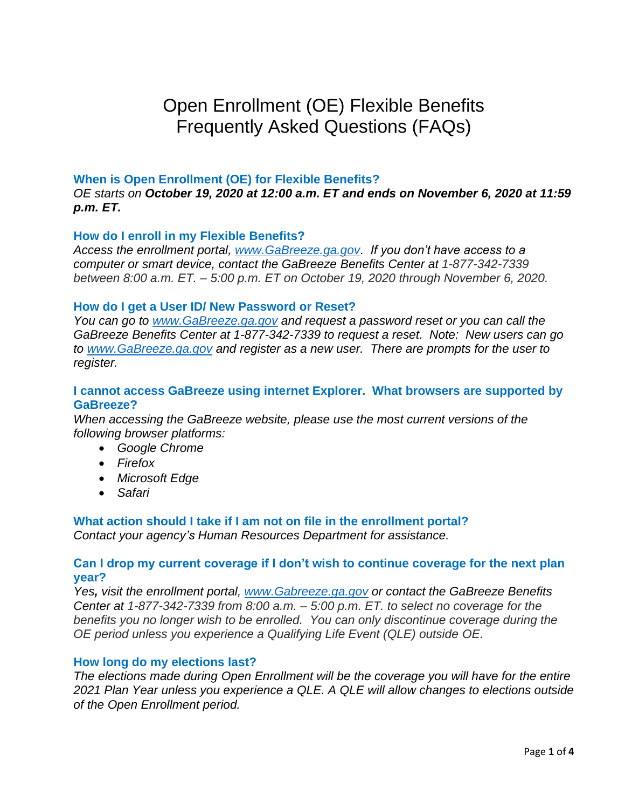# Open Enrollment (OE) Flexible Benefits Frequently Asked Questions (FAQs)

# **When is Open Enrollment (OE) for Flexible Benefits?**

*OE starts on October 19, 2020 at 12:00 a.m. ET and ends on November 6, 2020 at 11:59 p.m. ET.*

# **How do I enroll in my Flexible Benefits?**

*Access the enrollment portal, [www.GaBreeze.ga.gov.](http://www.gabreeze.ga.gov/) If you don't have access to a computer or smart device, contact the GaBreeze Benefits Center at 1-877-342-7339 between 8:00 a.m. ET. – 5:00 p.m. ET on October 19, 2020 through November 6, 2020.*

# **How do I get a User ID/ New Password or Reset?**

*You can go to [www.GaBreeze.ga.gov](http://www.gabreeze.ga.gov/) and request a password reset or you can call the GaBreeze Benefits Center at 1-877-342-7339 to request a reset. Note: New users can go to [www.GaBreeze.ga.gov](http://www.gabreeze.ga.gov/) and register as a new user. There are prompts for the user to register.* 

## **I cannot access GaBreeze using internet Explorer. What browsers are supported by GaBreeze?**

*When accessing the GaBreeze website, please use the most current versions of the following browser platforms:*

- *Google Chrome*
- *Firefox*
- *Microsoft Edge*
- *Safari*

# **What action should I take if I am not on file in the enrollment portal?**

*Contact your agency's Human Resources Department for assistance.*

# **Can I drop my current coverage if I don't wish to continue coverage for the next plan year?**

*Yes, visit the enrollment portal, [www.Gabreeze.ga.gov](http://www.gabreeze.ga.gov/) or contact the GaBreeze Benefits Center at 1-877-342-7339 from 8:00 a.m. – 5:00 p.m. ET. to select no coverage for the benefits you no longer wish to be enrolled. You can only discontinue coverage during the OE period unless you experience a Qualifying Life Event (QLE) outside OE.*

# **How long do my elections last?**

*The elections made during Open Enrollment will be the coverage you will have for the entire 2021 Plan Year unless you experience a QLE. A QLE will allow changes to elections outside of the Open Enrollment period.*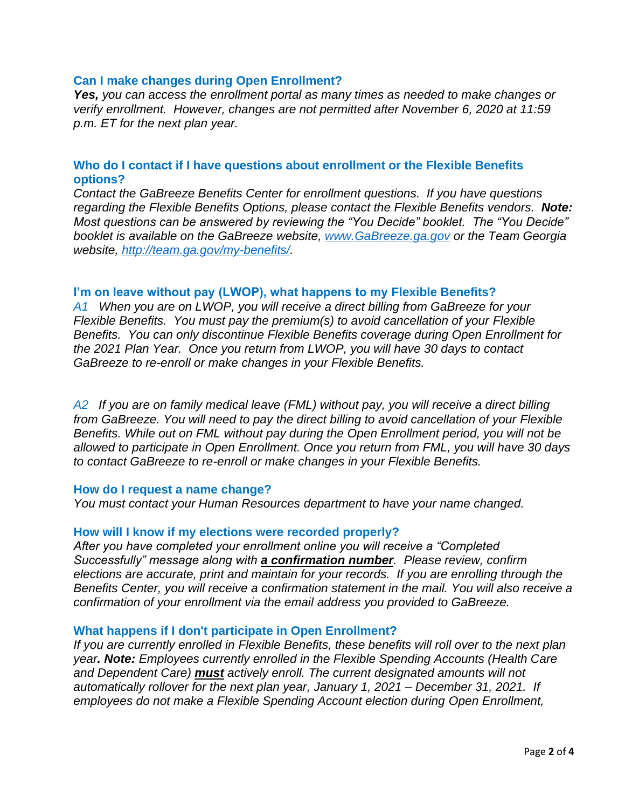# **Can I make changes during Open Enrollment?**

*Yes, you can access the enrollment portal as many times as needed to make changes or verify enrollment. However, changes are not permitted after November 6, 2020 at 11:59 p.m. ET for the next plan year.* 

# **Who do I contact if I have questions about enrollment or the Flexible Benefits options?**

*Contact the GaBreeze Benefits Center for enrollment questions. If you have questions regarding the Flexible Benefits Options, please contact the Flexible Benefits vendors. Note: Most questions can be answered by reviewing the "You Decide" booklet. The "You Decide" booklet is available on the GaBreeze website, [www.GaBreeze.ga.gov](http://www.gabreeze.ga.gov/) or the Team Georgia website, [http://team.ga.gov/my-benefits/.](http://team.ga.gov/my-benefits/)* 

## **I'm on leave without pay (LWOP), what happens to my Flexible Benefits?**

*A1 When you are on LWOP, you will receive a direct billing from GaBreeze for your Flexible Benefits. You must pay the premium(s) to avoid cancellation of your Flexible Benefits. You can only discontinue Flexible Benefits coverage during Open Enrollment for the 2021 Plan Year. Once you return from LWOP, you will have 30 days to contact GaBreeze to re-enroll or make changes in your Flexible Benefits.*

*A2 If you are on family medical leave (FML) without pay, you will receive a direct billing from GaBreeze. You will need to pay the direct billing to avoid cancellation of your Flexible Benefits. While out on FML without pay during the Open Enrollment period, you will not be allowed to participate in Open Enrollment. Once you return from FML, you will have 30 days to contact GaBreeze to re-enroll or make changes in your Flexible Benefits.*

#### **How do I request a name change?**

*You must contact your Human Resources department to have your name changed.*

#### **How will I know if my elections were recorded properly?**

*After you have completed your enrollment online you will receive a "Completed Successfully" message along with a confirmation number. Please review, confirm elections are accurate, print and maintain for your records. If you are enrolling through the Benefits Center, you will receive a confirmation statement in the mail. You will also receive a confirmation of your enrollment via the email address you provided to GaBreeze.*

#### **What happens if I don't participate in Open Enrollment?**

*If you are currently enrolled in Flexible Benefits, these benefits will roll over to the next plan year. Note: Employees currently enrolled in the Flexible Spending Accounts (Health Care and Dependent Care) must actively enroll. The current designated amounts will not automatically rollover for the next plan year, January 1, 2021 – December 31, 2021. If employees do not make a Flexible Spending Account election during Open Enrollment,*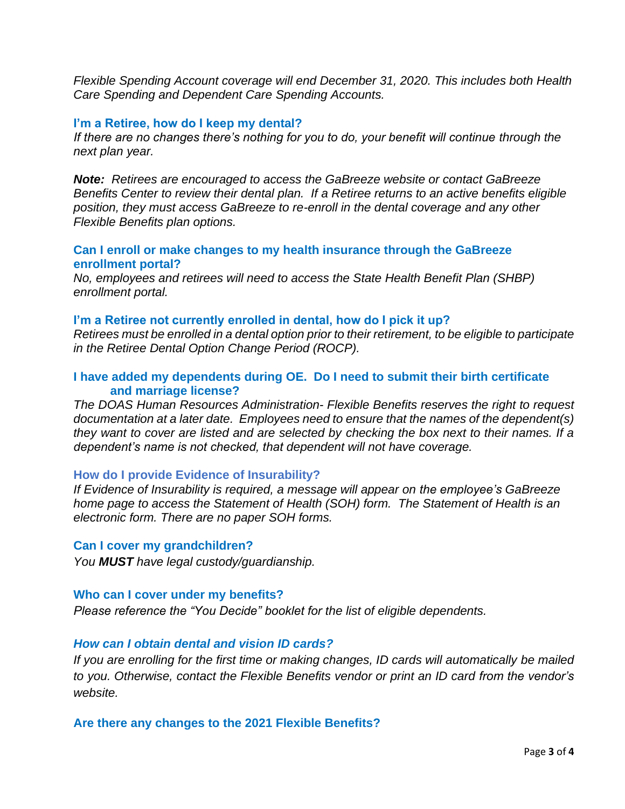*Flexible Spending Account coverage will end December 31, 2020. This includes both Health Care Spending and Dependent Care Spending Accounts.* 

## **I'm a Retiree, how do I keep my dental?**

*If there are no changes there's nothing for you to do, your benefit will continue through the next plan year.*

*Note: Retirees are encouraged to access the GaBreeze website or contact GaBreeze Benefits Center to review their dental plan. If a Retiree returns to an active benefits eligible position, they must access GaBreeze to re-enroll in the dental coverage and any other Flexible Benefits plan options.* 

# **Can I enroll or make changes to my health insurance through the GaBreeze enrollment portal?**

*No, employees and retirees will need to access the State Health Benefit Plan (SHBP) enrollment portal.*

## **I'm a Retiree not currently enrolled in dental, how do I pick it up?**

*Retirees must be enrolled in a dental option prior to their retirement, to be eligible to participate in the Retiree Dental Option Change Period (ROCP).*

# **I have added my dependents during OE. Do I need to submit their birth certificate and marriage license?**

*The DOAS Human Resources Administration- Flexible Benefits reserves the right to request documentation at a later date. Employees need to ensure that the names of the dependent(s) they want to cover are listed and are selected by checking the box next to their names. If a dependent's name is not checked, that dependent will not have coverage.* 

# **How do I provide Evidence of Insurability?**

*If Evidence of Insurability is required, a message will appear on the employee's GaBreeze home page to access the Statement of Health (SOH) form. The Statement of Health is an electronic form. There are no paper SOH forms.*

#### **Can I cover my grandchildren?**

*You MUST have legal custody/guardianship.*

#### **Who can I cover under my benefits?**

*Please reference the "You Decide" booklet for the list of eligible dependents.*

# *How can I obtain dental and vision ID cards?*

*If you are enrolling for the first time or making changes, ID cards will automatically be mailed to you. Otherwise, contact the Flexible Benefits vendor or print an ID card from the vendor's website.*

# **Are there any changes to the 2021 Flexible Benefits?**